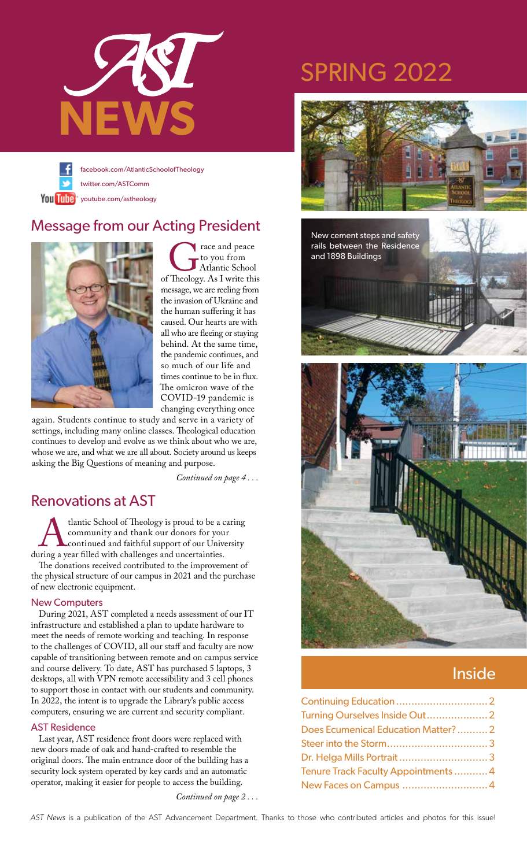





Trace and peace<br>to you from<br>of Theology. As I write this to you from Atlantic School message, we are reeling from the invasion of Ukraine and the human suffering it has caused. Our hearts are with all who are fleeing or staying behind. At the same time, the pandemic continues, and so much of our life and times continue to be in flux. The omicron wave of the COVID-19 pandemic is changing everything once

again. Students continue to study and serve in a variety of settings, including many online classes. Theological education continues to develop and evolve as we think about who we are, whose we are, and what we are all about. Society around us keeps asking the Big Questions of meaning and purpose.

 *Continued on page 4 . . .*

### Renovations at AST

tlantic School of Theology is proud to be a caring<br>community and thank our donors for your<br>continued and faithful support of our University<br>ing a year filled with challenges and uncertainties. community and thank our donors for your continued and faithful support of our University during a year filled with challenges and uncertainties.

The donations received contributed to the improvement of the physical structure of our campus in 2021 and the purchase of new electronic equipment.

#### New Computers

During 2021, AST completed a needs assessment of our IT infrastructure and established a plan to update hardware to meet the needs of remote working and teaching. In response to the challenges of COVID, all our staff and faculty are now capable of transitioning between remote and on campus service and course delivery. To date, AST has purchased 5 laptops, 3 desktops, all with VPN remote accessibility and 3 cell phones to support those in contact with our students and community. In 2022, the intent is to upgrade the Library's public access computers, ensuring we are current and security compliant.

#### AST Residence

Last year, AST residence front doors were replaced with new doors made of oak and hand-crafted to resemble the original doors. The main entrance door of the building has a security lock system operated by key cards and an automatic operator, making it easier for people to access the building.

*Continued on page 2 . . .*

## SPRING 2022





### Inside

| Does Ecumenical Education Matter?2  |  |
|-------------------------------------|--|
|                                     |  |
|                                     |  |
| Tenure Track Faculty Appointments 4 |  |
|                                     |  |

AST News is a publication of the AST Advancement Department. Thanks to those who contributed articles and photos for this issue!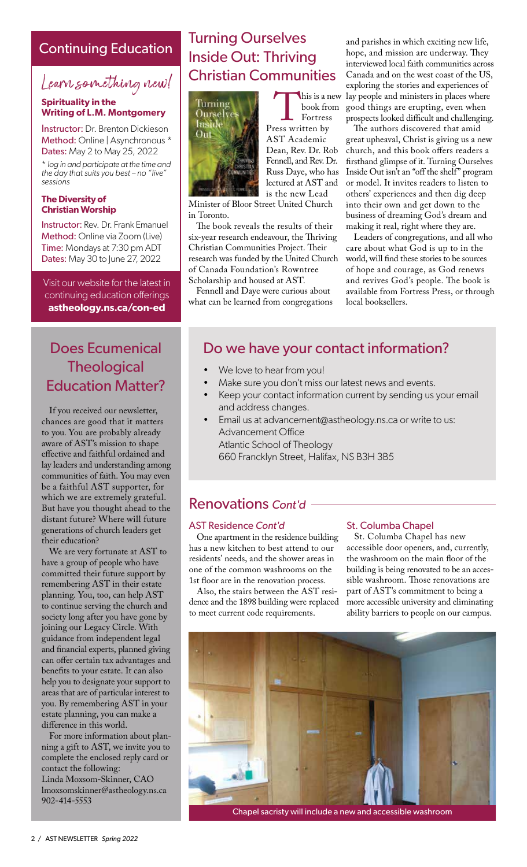#### Continuing Education

## Learn something new!

#### **Spirituality in the Writing of L.M. Montgomery**

Instructor: Dr. Brenton Dickieson Method: Online | Asynchronous \* Dates: May 2 to May 25, 2022

\* *log in and participate at the time and the day that suits you best – no "live" sessions* 

#### **The Diversity of Christian Worship**

Instructor: Rev. Dr. Frank Emanuel Method: Online via Zoom (Live) Time: Mondays at 7:30 pm ADT Dates: May 30 to June 27, 2022

Visit our website for the latest in continuing education offerings **astheology.ns.ca/con-ed**

### Does Ecumenical **Theological** Education Matter?

If you received our newsletter, chances are good that it matters to you. You are probably already aware of AST's mission to shape effective and faithful ordained and lay leaders and understanding among communities of faith. You may even be a faithful AST supporter, for which we are extremely grateful. But have you thought ahead to the distant future? Where will future generations of church leaders get their education?

We are very fortunate at AST to have a group of people who have committed their future support by remembering AST in their estate planning. You, too, can help AST to continue serving the church and society long after you have gone by joining our Legacy Circle. With guidance from independent legal and financial experts, planned giving can offer certain tax advantages and benefits to your estate. It can also help you to designate your support to areas that are of particular interest to you. By remembering AST in your estate planning, you can make a difference in this world.

For more information about planning a gift to AST, we invite you to complete the enclosed reply card or contact the following: Linda Moxsom-Skinner, CAO lmoxsomskinner@astheology.ns.ca 902-414-5553

### Turning Ourselves Inside Out: Thriving Christian Communities



This is a new<br>
book from<br>
Press written by book from Fortress AST Academic Dean, Rev. Dr. Rob Fennell, and Rev. Dr. Russ Daye, who has lectured at AST and is the new Lead

Minister of Bloor Street United Church in Toronto.

The book reveals the results of their six-year research endeavour, the Thriving Christian Communities Project. Their research was funded by the United Church of Canada Foundation's Rowntree Scholarship and housed at AST.

Fennell and Daye were curious about what can be learned from congregations

and parishes in which exciting new life, hope, and mission are underway. They interviewed local faith communities across Canada and on the west coast of the US, exploring the stories and experiences of his is a new lay people and ministers in places where good things are erupting, even when prospects looked difficult and challenging.

The authors discovered that amid great upheaval, Christ is giving us a new church, and this book offers readers a firsthand glimpse of it. Turning Ourselves Inside Out isn't an "off the shelf" program or model. It invites readers to listen to others' experiences and then dig deep into their own and get down to the business of dreaming God's dream and making it real, right where they are.

Leaders of congregations, and all who care about what God is up to in the world, will find these stories to be sources of hope and courage, as God renews and revives God's people. The book is available from Fortress Press, or through local booksellers.

### Do we have your contact information?

- We love to hear from you!
- Make sure you don't miss our latest news and events.
- Keep your contact information current by sending us your email and address changes.
- Email us at advancement@astheology.ns.ca or write to us: Advancement Office Atlantic School of Theology 660 Francklyn Street, Halifax, NS B3H 3B5

### Renovations *Cont'd*

#### AST Residence *Cont'd*

One apartment in the residence building has a new kitchen to best attend to our residents' needs, and the shower areas in one of the common washrooms on the 1st floor are in the renovation process.

Also, the stairs between the AST residence and the 1898 building were replaced to meet current code requirements.

#### St. Columba Chapel

St. Columba Chapel has new accessible door openers, and, currently, the washroom on the main floor of the building is being renovated to be an accessible washroom. Those renovations are part of AST's commitment to being a more accessible university and eliminating ability barriers to people on our campus.



Chapel sacristy will include a new and accessible washroom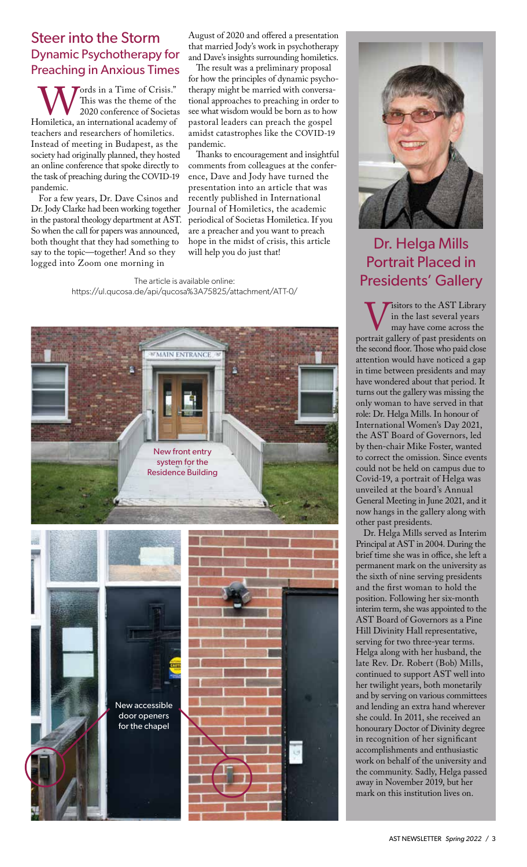#### Steer into the Storm Dynamic Psychotherapy for Preaching in Anxious Times

Words in a Time of Crisis."<br>This was the theme of the<br>Homiletica, an international academy of This was the theme of the 2020 conference of Societas teachers and researchers of homiletics. Instead of meeting in Budapest, as the society had originally planned, they hosted an online conference that spoke directly to the task of preaching during the COVID-19 pandemic.

For a few years, Dr. Dave Csinos and Dr. Jody Clarke had been working together in the pastoral theology department at AST. So when the call for papers was announced, both thought that they had something to say to the topic—together! And so they logged into Zoom one morning in

August of 2020 and offered a presentation that married Jody's work in psychotherapy and Dave's insights surrounding homiletics.

The result was a preliminary proposal for how the principles of dynamic psychotherapy might be married with conversational approaches to preaching in order to see what wisdom would be born as to how pastoral leaders can preach the gospel amidst catastrophes like the COVID-19 pandemic.

Thanks to encouragement and insightful comments from colleagues at the conference, Dave and Jody have turned the presentation into an article that was recently published in International Journal of Homiletics, the academic periodical of Societas Homiletica. If you are a preacher and you want to preach hope in the midst of crisis, this article will help you do just that!

The article is available online: https://ul.qucosa.de/api/qucosa%3A75825/attachment/ATT-0/





### Dr. Helga Mills Portrait Placed in Presidents' Gallery

Wisitors to the AST Library<br>
may have come across the<br>
portrait gallery of past presidents on in the last several years may have come across the the second floor. Those who paid close attention would have noticed a gap in time between presidents and may have wondered about that period. It turns out the gallery was missing the only woman to have served in that role: Dr. Helga Mills. In honour of International Women's Day 2021, the AST Board of Governors, led by then-chair Mike Foster, wanted to correct the omission. Since events could not be held on campus due to Covid-19, a portrait of Helga was unveiled at the board's Annual General Meeting in June 2021, and it now hangs in the gallery along with other past presidents.

Dr. Helga Mills served as Interim Principal at AST in 2004. During the brief time she was in office, she left a permanent mark on the university as the sixth of nine serving presidents and the first woman to hold the position. Following her six-month interim term, she was appointed to the AST Board of Governors as a Pine Hill Divinity Hall representative, serving for two three-year terms. Helga along with her husband, the late Rev. Dr. Robert (Bob) Mills, continued to support AST well into her twilight years, both monetarily and by serving on various committees and lending an extra hand wherever she could. In 2011, she received an honourary Doctor of Divinity degree in recognition of her significant accomplishments and enthusiastic work on behalf of the university and the community. Sadly, Helga passed away in November 2019, but her mark on this institution lives on.